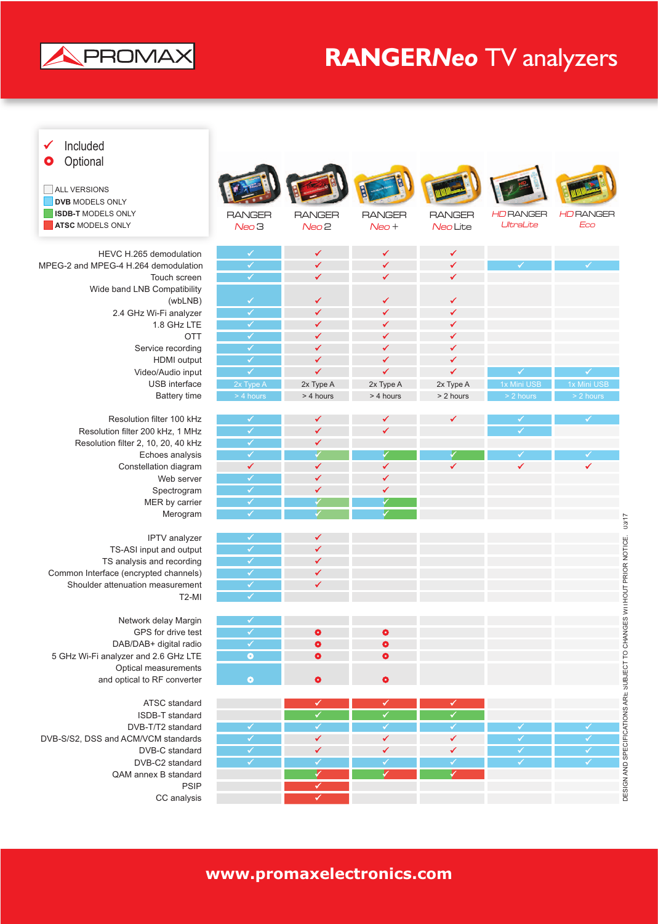

## **RANGER***Neo* TV analyzers

| Included<br>✔<br>Optional<br>О<br><b>ALL VERSIONS</b><br><b>DVB MODELS ONLY</b><br><b>ISDB-T MODELS ONLY</b><br>ATSC MODELS ONLY | <b>RANGER</b><br>$N$ eo 3    | <b>RANGER</b><br>$N$ eo $2$  | <b>RANGER</b><br>$N$ eo +    | <b>RANGER</b><br>Neo Lite    | <b>HDRANGER</b><br>UltraLite | <b>HDRANGER</b><br>Eco |
|----------------------------------------------------------------------------------------------------------------------------------|------------------------------|------------------------------|------------------------------|------------------------------|------------------------------|------------------------|
| HEVC H.265 demodulation                                                                                                          | $\checkmark$                 | ✔                            | $\checkmark$                 | $\checkmark$                 |                              |                        |
| MPEG-2 and MPEG-4 H.264 demodulation                                                                                             | $\overline{\checkmark}$      | ✔                            | $\checkmark$                 | $\checkmark$                 | ✓                            | ✓                      |
| Touch screen                                                                                                                     | $\checkmark$                 | ✓                            | $\checkmark$                 | ✔                            |                              |                        |
| Wide band LNB Compatibility<br>(wbLNB)                                                                                           | $\checkmark$                 | ✔                            | ✔                            | ✔                            |                              |                        |
| 2.4 GHz Wi-Fi analyzer                                                                                                           | $\overline{\mathscr{C}}$     | ✔                            | $\checkmark$                 | ✔                            |                              |                        |
| 1.8 GHz LTE                                                                                                                      | $\overline{\checkmark}$      | ✔                            | $\checkmark$                 | ✓                            |                              |                        |
| <b>OTT</b>                                                                                                                       | $\checkmark$                 | ✔                            | ✔                            | $\checkmark$                 |                              |                        |
| Service recording                                                                                                                | $\checkmark$                 | ✓                            | $\checkmark$                 | $\checkmark$                 |                              |                        |
| HDMI output                                                                                                                      | ✓                            | $\checkmark$                 | $\checkmark$                 | $\checkmark$                 |                              |                        |
| Video/Audio input                                                                                                                | ✓                            | $\checkmark$                 | $\checkmark$                 | $\checkmark$                 | ✓                            | $\checkmark$           |
| USB interface                                                                                                                    | 2x Type A                    | 2x Type A                    | 2x Type A                    | 2x Type A                    | 1x Mini USB                  | 1x Mini USB            |
| <b>Battery time</b>                                                                                                              | > 4 hours                    | > 4 hours                    | > 4 hours                    | > 2 hours                    | > 2 hours                    | > 2 hours              |
|                                                                                                                                  |                              |                              |                              |                              |                              |                        |
| Resolution filter 100 kHz<br>Resolution filter 200 kHz, 1 MHz                                                                    | ✓<br>$\overline{\checkmark}$ | ✔<br>✔                       | ✔<br>$\checkmark$            | ✔                            | ✓<br>$\checkmark$            | √                      |
| Resolution filter 2, 10, 20, 40 kHz                                                                                              | $\checkmark$                 | $\checkmark$                 |                              |                              |                              |                        |
| Echoes analysis                                                                                                                  | $\checkmark$                 | $\checkmark$                 | ✓                            | ✓                            | ✓                            | ✔                      |
| Constellation diagram                                                                                                            | $\checkmark$                 | $\checkmark$                 | $\checkmark$                 | $\checkmark$                 | $\checkmark$                 | ✓                      |
| Web server                                                                                                                       | ✓                            | ✓                            | ✔                            |                              |                              |                        |
| Spectrogram                                                                                                                      | $\checkmark$                 | ✔                            | ✔                            |                              |                              |                        |
| MER by carrier                                                                                                                   | $\checkmark$                 | $\checkmark$                 | ✓                            |                              |                              |                        |
| Merogram                                                                                                                         | ✓                            | ✓                            | ✓                            |                              |                              |                        |
|                                                                                                                                  |                              |                              |                              |                              |                              |                        |
| IPTV analyzer                                                                                                                    | ✔                            | ✔                            |                              |                              |                              |                        |
| TS-ASI input and output                                                                                                          | $\checkmark$                 | ✔                            |                              |                              |                              |                        |
| TS analysis and recording                                                                                                        | $\checkmark$                 | ✔                            |                              |                              |                              |                        |
| Common Interface (encrypted channels)                                                                                            | $\checkmark$                 | ✔<br>$\checkmark$            |                              |                              |                              |                        |
| Shoulder attenuation measurement<br>$T2-MI$                                                                                      | ✓<br>$\checkmark$            |                              |                              |                              |                              |                        |
|                                                                                                                                  |                              |                              |                              |                              |                              |                        |
| Network delay Margin                                                                                                             | ✓                            |                              |                              |                              |                              |                        |
| GPS for drive test                                                                                                               | $\checkmark$                 | $\bullet$                    | $\bullet$                    |                              |                              |                        |
| DAB/DAB+ digital radio                                                                                                           | $\checkmark$                 | $\bullet$                    | $\bullet$                    |                              |                              |                        |
| 5 GHz Wi-Fi analyzer and 2.6 GHz LTE                                                                                             | $\bullet$                    | $\bullet$                    | $\bullet$                    |                              |                              |                        |
| Optical measurements                                                                                                             |                              |                              |                              |                              |                              |                        |
| and optical to RF converter                                                                                                      | $\bullet$                    | $\bullet$                    | $\bullet$                    |                              |                              |                        |
|                                                                                                                                  |                              |                              |                              |                              |                              |                        |
| ATSC standard                                                                                                                    |                              | ✓                            | ✔                            | ✔                            |                              |                        |
| ISDB-T standard                                                                                                                  |                              | $\overline{\checkmark}$      | $\overline{\checkmark}$      | $\overline{\checkmark}$      |                              |                        |
| DVB-T/T2 standard                                                                                                                | ✓<br>$\overline{\checkmark}$ | $\checkmark$<br>$\checkmark$ | $\checkmark$<br>$\checkmark$ | $\checkmark$<br>$\checkmark$ | ✓<br>$\checkmark$            | √<br>$\checkmark$      |
| DVB-S/S2, DSS and ACM/VCM standards<br>DVB-C standard                                                                            | $\overline{\checkmark}$      | ✔                            | $\checkmark$                 | ✔                            | $\checkmark$                 | $\checkmark$           |
| DVB-C2 standard                                                                                                                  | $\checkmark$                 | $\checkmark$                 | $\checkmark$                 | $\checkmark$                 | ✓                            | $\checkmark$           |
| QAM annex B standard                                                                                                             |                              | ✓                            |                              | ✔                            |                              |                        |
| <b>PSIP</b>                                                                                                                      |                              | $\overline{\checkmark}$      |                              |                              |                              |                        |
| CC analysis                                                                                                                      |                              | ✓                            |                              |                              |                              |                        |
|                                                                                                                                  |                              |                              |                              |                              |                              |                        |